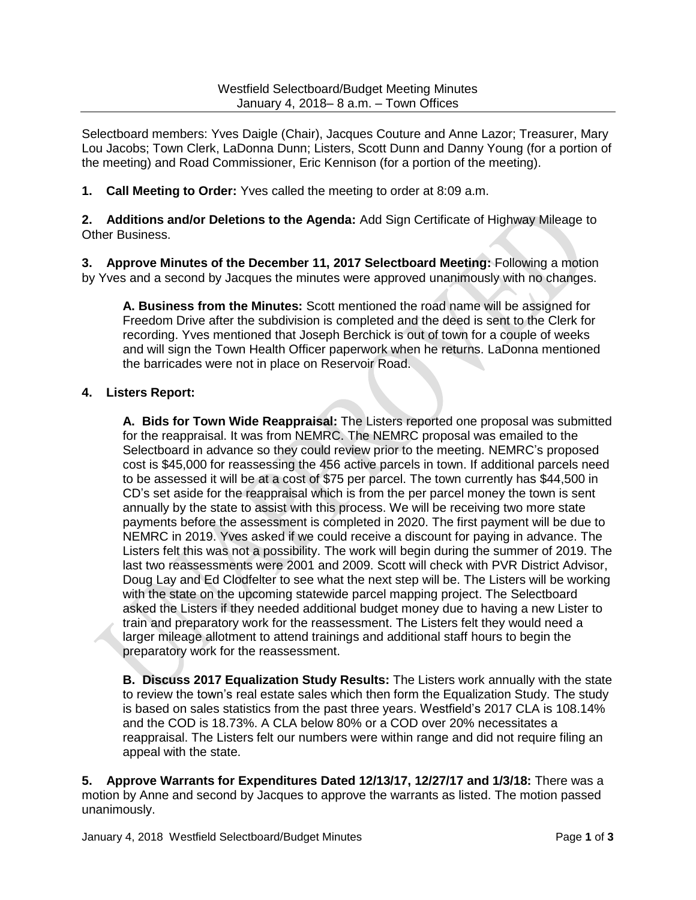Selectboard members: Yves Daigle (Chair), Jacques Couture and Anne Lazor; Treasurer, Mary Lou Jacobs; Town Clerk, LaDonna Dunn; Listers, Scott Dunn and Danny Young (for a portion of the meeting) and Road Commissioner, Eric Kennison (for a portion of the meeting).

**1. Call Meeting to Order:** Yves called the meeting to order at 8:09 a.m.

**2. Additions and/or Deletions to the Agenda:** Add Sign Certificate of Highway Mileage to Other Business.

**3. Approve Minutes of the December 11, 2017 Selectboard Meeting:** Following a motion by Yves and a second by Jacques the minutes were approved unanimously with no changes.

**A. Business from the Minutes:** Scott mentioned the road name will be assigned for Freedom Drive after the subdivision is completed and the deed is sent to the Clerk for recording. Yves mentioned that Joseph Berchick is out of town for a couple of weeks and will sign the Town Health Officer paperwork when he returns. LaDonna mentioned the barricades were not in place on Reservoir Road.

## **4. Listers Report:**

**A. Bids for Town Wide Reappraisal:** The Listers reported one proposal was submitted for the reappraisal. It was from NEMRC. The NEMRC proposal was emailed to the Selectboard in advance so they could review prior to the meeting. NEMRC's proposed cost is \$45,000 for reassessing the 456 active parcels in town. If additional parcels need to be assessed it will be at a cost of \$75 per parcel. The town currently has \$44,500 in CD's set aside for the reappraisal which is from the per parcel money the town is sent annually by the state to assist with this process. We will be receiving two more state payments before the assessment is completed in 2020. The first payment will be due to NEMRC in 2019. Yves asked if we could receive a discount for paying in advance. The Listers felt this was not a possibility. The work will begin during the summer of 2019. The last two reassessments were 2001 and 2009. Scott will check with PVR District Advisor, Doug Lay and Ed Clodfelter to see what the next step will be. The Listers will be working with the state on the upcoming statewide parcel mapping project. The Selectboard asked the Listers if they needed additional budget money due to having a new Lister to train and preparatory work for the reassessment. The Listers felt they would need a larger mileage allotment to attend trainings and additional staff hours to begin the preparatory work for the reassessment.

**B. Discuss 2017 Equalization Study Results:** The Listers work annually with the state to review the town's real estate sales which then form the Equalization Study. The study is based on sales statistics from the past three years. Westfield's 2017 CLA is 108.14% and the COD is 18.73%. A CLA below 80% or a COD over 20% necessitates a reappraisal. The Listers felt our numbers were within range and did not require filing an appeal with the state.

**5. Approve Warrants for Expenditures Dated 12/13/17, 12/27/17 and 1/3/18:** There was a motion by Anne and second by Jacques to approve the warrants as listed. The motion passed unanimously.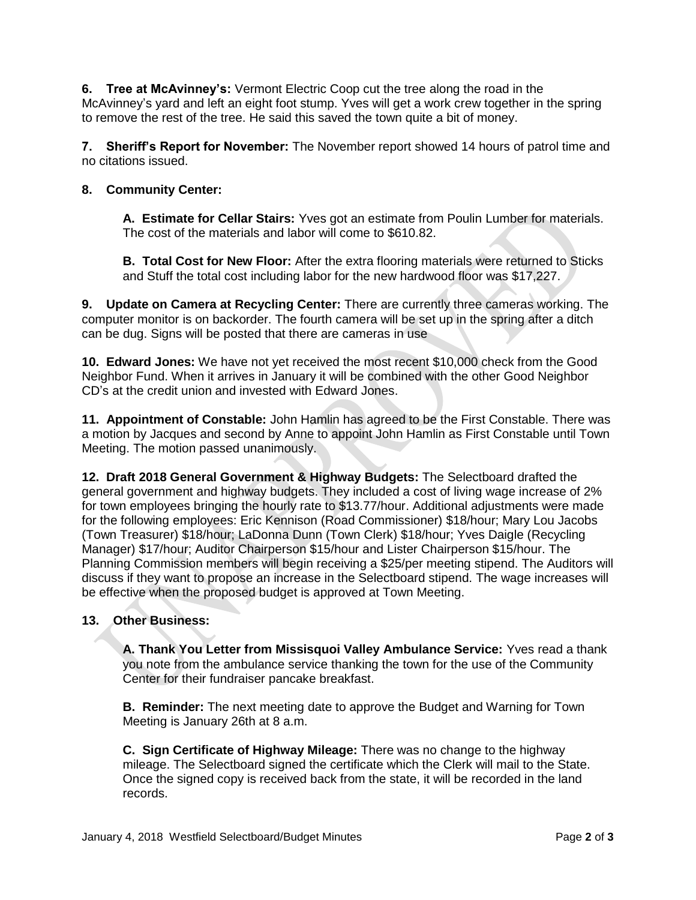**6. Tree at McAvinney's:** Vermont Electric Coop cut the tree along the road in the McAvinney's yard and left an eight foot stump. Yves will get a work crew together in the spring to remove the rest of the tree. He said this saved the town quite a bit of money.

**7. Sheriff's Report for November:** The November report showed 14 hours of patrol time and no citations issued.

## **8. Community Center:**

**A. Estimate for Cellar Stairs:** Yves got an estimate from Poulin Lumber for materials. The cost of the materials and labor will come to \$610.82.

**B. Total Cost for New Floor:** After the extra flooring materials were returned to Sticks and Stuff the total cost including labor for the new hardwood floor was \$17,227.

**9. Update on Camera at Recycling Center:** There are currently three cameras working. The computer monitor is on backorder. The fourth camera will be set up in the spring after a ditch can be dug. Signs will be posted that there are cameras in use

**10. Edward Jones:** We have not yet received the most recent \$10,000 check from the Good Neighbor Fund. When it arrives in January it will be combined with the other Good Neighbor CD's at the credit union and invested with Edward Jones.

**11. Appointment of Constable:** John Hamlin has agreed to be the First Constable. There was a motion by Jacques and second by Anne to appoint John Hamlin as First Constable until Town Meeting. The motion passed unanimously.

**12. Draft 2018 General Government & Highway Budgets:** The Selectboard drafted the general government and highway budgets. They included a cost of living wage increase of 2% for town employees bringing the hourly rate to \$13.77/hour. Additional adjustments were made for the following employees: Eric Kennison (Road Commissioner) \$18/hour; Mary Lou Jacobs (Town Treasurer) \$18/hour; LaDonna Dunn (Town Clerk) \$18/hour; Yves Daigle (Recycling Manager) \$17/hour; Auditor Chairperson \$15/hour and Lister Chairperson \$15/hour. The Planning Commission members will begin receiving a \$25/per meeting stipend. The Auditors will discuss if they want to propose an increase in the Selectboard stipend. The wage increases will be effective when the proposed budget is approved at Town Meeting.

## **13. Other Business:**

**A. Thank You Letter from Missisquoi Valley Ambulance Service:** Yves read a thank you note from the ambulance service thanking the town for the use of the Community Center for their fundraiser pancake breakfast.

**B. Reminder:** The next meeting date to approve the Budget and Warning for Town Meeting is January 26th at 8 a.m.

**C. Sign Certificate of Highway Mileage:** There was no change to the highway mileage. The Selectboard signed the certificate which the Clerk will mail to the State. Once the signed copy is received back from the state, it will be recorded in the land records.